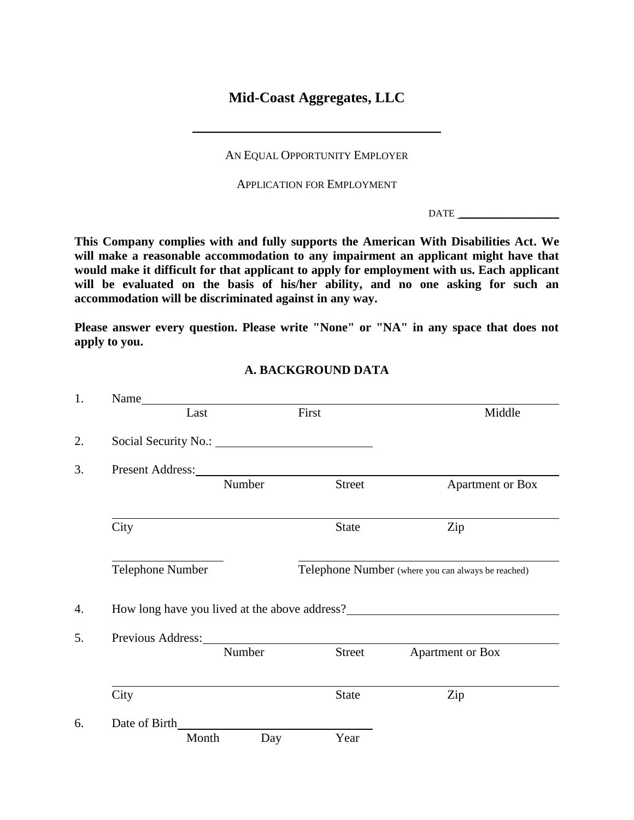# **Mid-Coast Aggregates, LLC**

AN EQUAL OPPORTUNITY EMPLOYER

\_\_\_\_\_\_\_\_\_\_\_\_\_\_\_\_\_\_\_\_\_\_\_\_\_\_\_\_\_\_\_\_\_\_\_\_\_\_\_\_

APPLICATION FOR EMPLOYMENT

DATE  $\_\_$ 

**This Company complies with and fully supports the American With Disabilities Act. We will make a reasonable accommodation to any impairment an applicant might have that would make it difficult for that applicant to apply for employment with us. Each applicant will be evaluated on the basis of his/her ability, and no one asking for such an accommodation will be discriminated against in any way.**

**Please answer every question. Please write "None" or "NA" in any space that does not apply to you.**

### **A. BACKGROUND DATA**

| Last                    |                   | First         | Middle                                             |
|-------------------------|-------------------|---------------|----------------------------------------------------|
|                         |                   |               |                                                    |
|                         |                   |               |                                                    |
|                         | Number            | <b>Street</b> | <b>Apartment or Box</b>                            |
| City                    |                   | <b>State</b>  | Zip                                                |
| <b>Telephone Number</b> |                   |               | Telephone Number (where you can always be reached) |
|                         |                   |               |                                                    |
|                         |                   |               | How long have you lived at the above address?      |
|                         | Previous Address: |               |                                                    |
|                         | Number            | Street        | Apartment or Box                                   |
| City                    |                   | <b>State</b>  | Zip                                                |
|                         |                   |               |                                                    |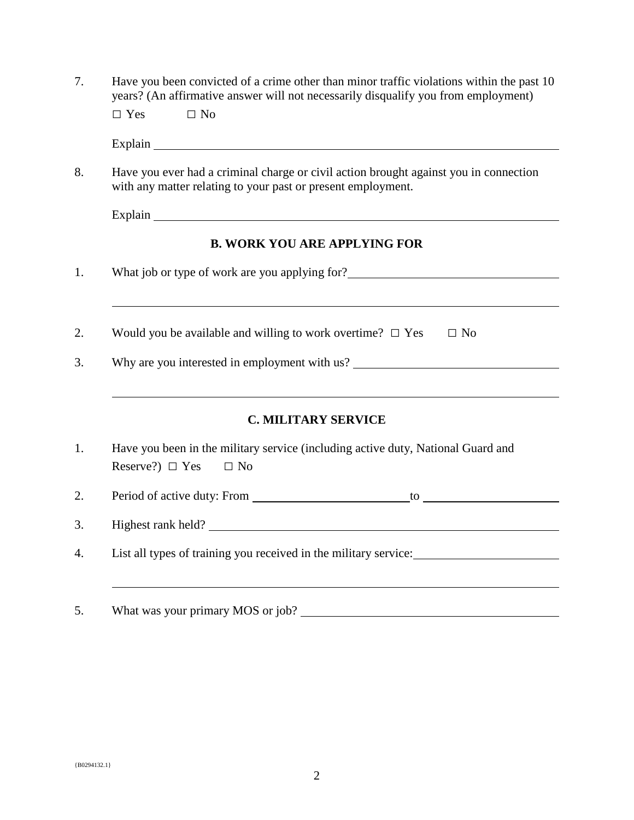7. Have you been convicted of a crime other than minor traffic violations within the past 10 years? (An affirmative answer will not necessarily disqualify you from employment)  $\square$  Yes  $\square$  No

8. Have you ever had a criminal charge or civil action brought against you in connection with any matter relating to your past or present employment.

Explain Explain

#### **B. WORK YOU ARE APPLYING FOR**

- 1. What job or type of work are you applying for?
- 2. Would you be available and willing to work overtime?  $\Box$  Yes  $\Box$  No
- 3. Why are you interested in employment with us?

#### **C. MILITARY SERVICE**

- 1. Have you been in the military service (including active duty, National Guard and Reserve?)  $\Box$  Yes  $\Box$  No
- 2. Period of active duty: From to
- 3. Highest rank held?
- 4. List all types of training you received in the military service:
- 5. What was your primary MOS or job?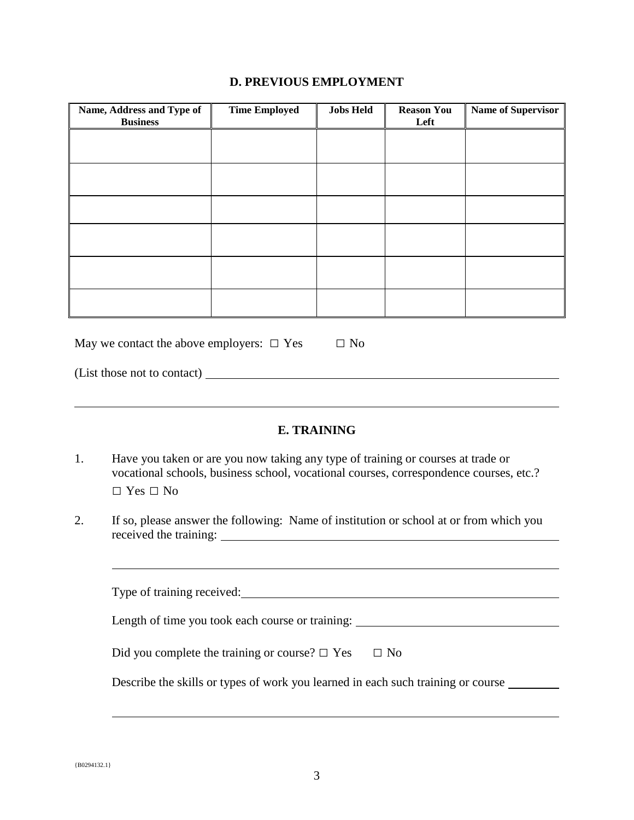#### **D. PREVIOUS EMPLOYMENT**

| Name, Address and Type of<br><b>Business</b> | <b>Time Employed</b> | <b>Jobs Held</b> | <b>Reason You</b><br>Left | <b>Name of Supervisor</b> |
|----------------------------------------------|----------------------|------------------|---------------------------|---------------------------|
|                                              |                      |                  |                           |                           |
|                                              |                      |                  |                           |                           |
|                                              |                      |                  |                           |                           |
|                                              |                      |                  |                           |                           |
|                                              |                      |                  |                           |                           |
|                                              |                      |                  |                           |                           |
|                                              |                      |                  |                           |                           |

| May we contact the above employers: $\Box$ Yes | $\Box$ No |
|------------------------------------------------|-----------|
|                                                |           |

| (List those not to contact) |  |
|-----------------------------|--|
|-----------------------------|--|

### **E. TRAINING**

- 1. Have you taken or are you now taking any type of training or courses at trade or vocational schools, business school, vocational courses, correspondence courses, etc.? □ Yes □ No
- 2. If so, please answer the following: Name of institution or school at or from which you received the training:  $\qquad \qquad$

Type of training received: Length of time you took each course or training: Did you complete the training or course?  $\Box$  Yes  $\Box$  No Describe the skills or types of work you learned in each such training or course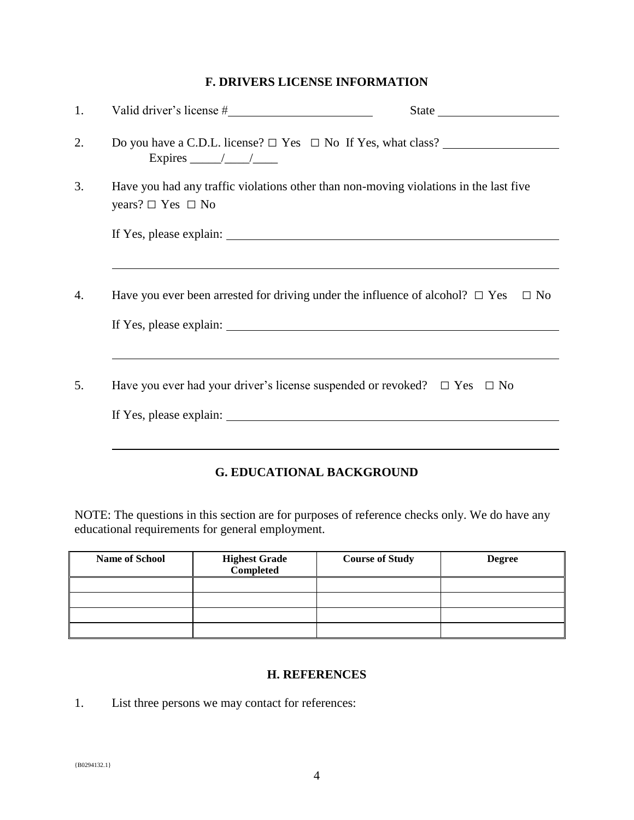## **F. DRIVERS LICENSE INFORMATION**

| 1. | Valid driver's license $#$                                                                                           |           |
|----|----------------------------------------------------------------------------------------------------------------------|-----------|
| 2. | Do you have a C.D.L. license? $\Box$ Yes $\Box$ No If Yes, what class?<br>Expires $\frac{\sqrt{2}}{2}$               |           |
| 3. | Have you had any traffic violations other than non-moving violations in the last five<br>years? $\Box$ Yes $\Box$ No |           |
|    |                                                                                                                      |           |
|    |                                                                                                                      |           |
| 4. | Have you ever been arrested for driving under the influence of alcohol? $\Box$ Yes                                   | $\Box$ No |
|    |                                                                                                                      |           |
|    |                                                                                                                      |           |
| 5. | Have you ever had your driver's license suspended or revoked? $\Box$ Yes $\Box$ No                                   |           |
|    |                                                                                                                      |           |
|    |                                                                                                                      |           |

## **G. EDUCATIONAL BACKGROUND**

NOTE: The questions in this section are for purposes of reference checks only. We do have any educational requirements for general employment.

| <b>Name of School</b> | <b>Highest Grade</b><br>Completed | <b>Course of Study</b> | <b>Degree</b> |
|-----------------------|-----------------------------------|------------------------|---------------|
|                       |                                   |                        |               |
|                       |                                   |                        |               |
|                       |                                   |                        |               |
|                       |                                   |                        |               |

#### **H. REFERENCES**

1. List three persons we may contact for references: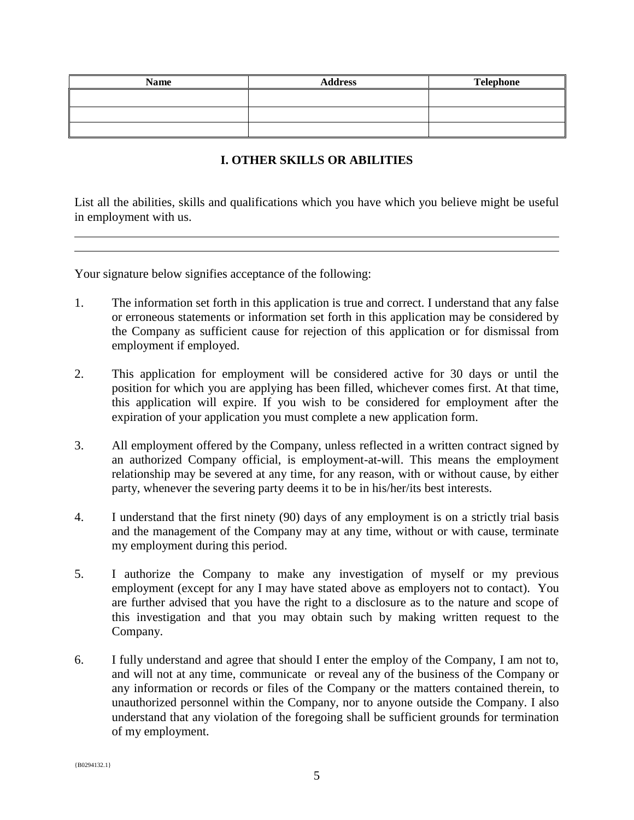| <b>Name</b> | <b>Address</b> | Telephone |
|-------------|----------------|-----------|
|             |                |           |
|             |                |           |
|             |                |           |

### **I. OTHER SKILLS OR ABILITIES**

List all the abilities, skills and qualifications which you have which you believe might be useful in employment with us.

Your signature below signifies acceptance of the following:

- 1. The information set forth in this application is true and correct. I understand that any false or erroneous statements or information set forth in this application may be considered by the Company as sufficient cause for rejection of this application or for dismissal from employment if employed.
- 2. This application for employment will be considered active for 30 days or until the position for which you are applying has been filled, whichever comes first. At that time, this application will expire. If you wish to be considered for employment after the expiration of your application you must complete a new application form.
- 3. All employment offered by the Company, unless reflected in a written contract signed by an authorized Company official, is employment-at-will. This means the employment relationship may be severed at any time, for any reason, with or without cause, by either party, whenever the severing party deems it to be in his/her/its best interests.
- 4. I understand that the first ninety (90) days of any employment is on a strictly trial basis and the management of the Company may at any time, without or with cause, terminate my employment during this period.
- 5. I authorize the Company to make any investigation of myself or my previous employment (except for any I may have stated above as employers not to contact). You are further advised that you have the right to a disclosure as to the nature and scope of this investigation and that you may obtain such by making written request to the Company.
- 6. I fully understand and agree that should I enter the employ of the Company, I am not to, and will not at any time, communicate or reveal any of the business of the Company or any information or records or files of the Company or the matters contained therein, to unauthorized personnel within the Company, nor to anyone outside the Company. I also understand that any violation of the foregoing shall be sufficient grounds for termination of my employment.